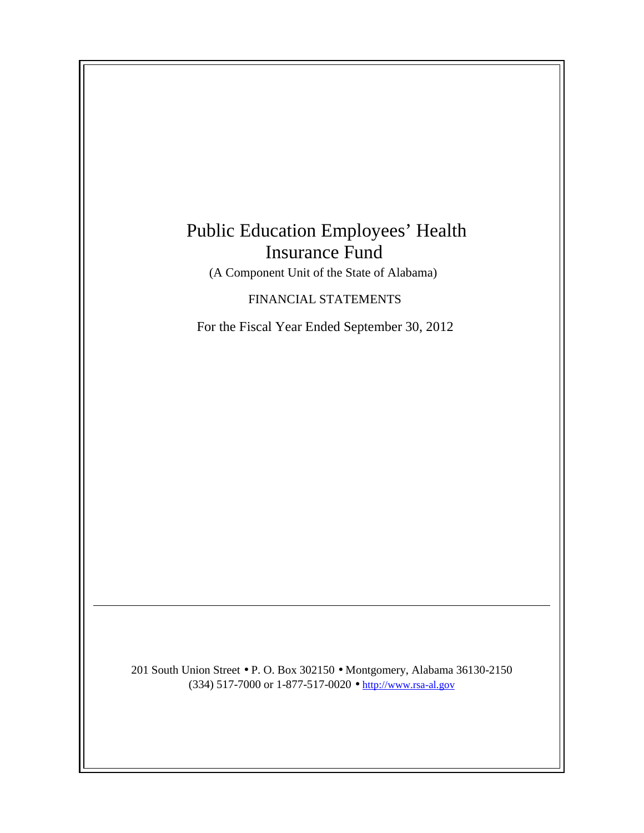# Public Education Employees' Health Insurance Fund

(A Component Unit of the State of Alabama)

FINANCIAL STATEMENTS

For the Fiscal Year Ended September 30, 2012

201 South Union Street • P. O. Box 302150 • Montgomery, Alabama 36130-2150 (334) 517-7000 or 1-877-517-0020 • http://www.rsa-al.gov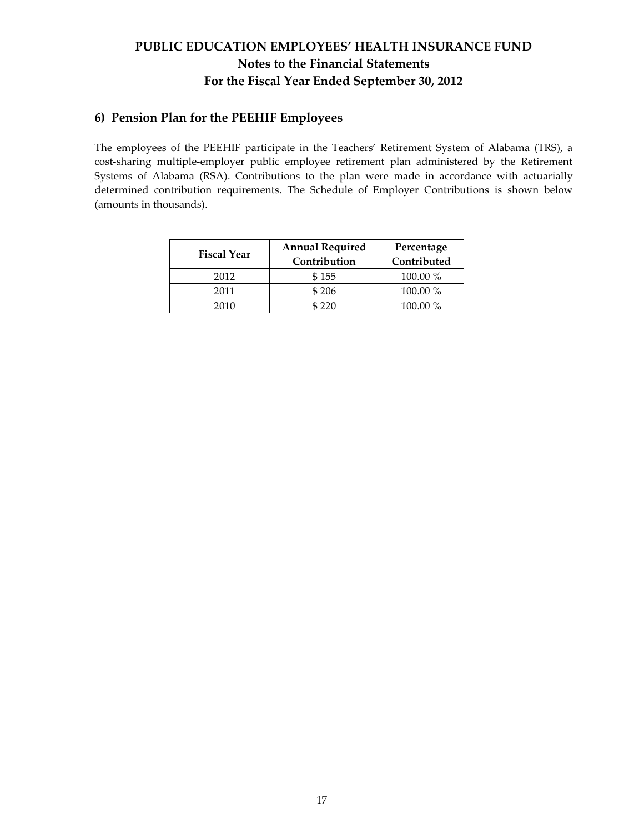# PUBLIC EDUCATION EMPLOYEES' HEALTH INSURANCE FUND Notes to the Financial Statements For the Fiscal Year Ended September 30, 2012

### 6) Pension Plan for the PEEHIF Employees

The employees of the PEEHIF participate in the Teachers' Retirement System of Alabama (TRS), a cost-sharing multiple-employer public employee retirement plan administered by the Retirement Systems of Alabama (RSA). Contributions to the plan were made in accordance with actuarially determined contribution requirements. The Schedule of Employer Contributions is shown below (amounts in thousands).

| <b>Fiscal Year</b> | <b>Annual Required</b><br>Contribution | Percentage<br>Contributed |  |  |  |
|--------------------|----------------------------------------|---------------------------|--|--|--|
| 2012               | \$155                                  | 100.00 %                  |  |  |  |
| 2011               | \$206                                  | 100.00 %                  |  |  |  |
| 2010               | \$220                                  | 100.00 %                  |  |  |  |